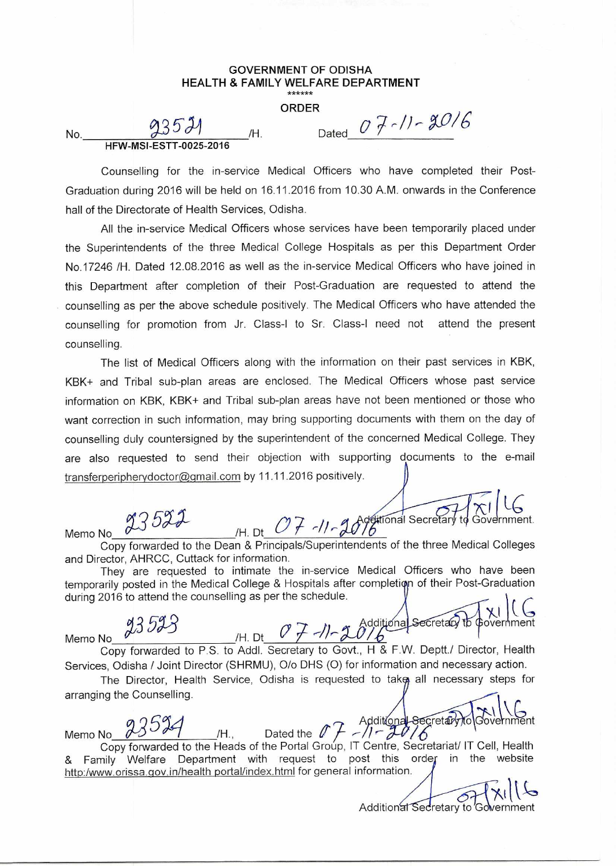## **GOVERNMENT OF ODISHA HEALTH & FAMILY WELFARE DEPARTMENT**

**ORDER** 

**HFW-MSI-ESTT-0025-2016** 

No.  $93521$  /H. Dated  $07-11-2016$ 

Counselling for the in-service Medical Officers who have completed their Post-Graduation during 2016 will be held on 16.11.2016 from 10.30 A.M. onwards in the Conference hall of the Directorate of Health Services, Odisha.

All the in-service Medical Officers whose services have been temporarily placed under the Superintendents of the three Medical College Hospitals as per this Department Order No.17246 /H. Dated 12.08.2016 as well as the in-service Medical Officers who have joined in this Department after completion of their Post-Graduation are requested to attend the counselling as per the above schedule positively. The Medical Officers who have attended the counselling for promotion from Jr. Class-I to Sr. Class-I need not attend the present counselling.

The list of Medical Officers along with the information on their past services in KBK, KBK+ and Tribal sub-plan areas are enclosed. The Medical Officers whose past service information on KBK, KBK+ and Tribal sub-plan areas have not been mentioned or those who want correction in such information, may bring supporting documents with them on the day of counselling duly countersigned by the superintendent of the concerned Medical College. They are also requested to send their objection with supporting documents to the e-mail transferperipherydoctor@gmail.com by 11.11.2016 positively.

Memo No  $\frac{935527}{100}$  /H. Dt  $\frac{077 - 11 - 2076}{6}$  $\overline{C}$ 

Copy forwarded to the Dean & Principals/Superintendents of the three Medical Colleges and Director, AHRCC, Cuttack for information.

They are requested to intimate the in-service Medical Officers who have been temporarily posted in the Medical College & Hospitals after completion of their Post-Graduation during 2016 to attend the counselling as per the schedule.

Memo No  $3593$  /H. Dt  $07 - 2016$ 

Copy forwarded to P.S. to Addl. Secretary to Govt., H & F.W. Deptt./ Director, Health Services, Odisha / Joint Director (SHRMU), 0/o DHS (0) for information and necessary action.

The Director, Health Service, Odisha is requested to tako all necessary steps for arranging the Counselling.

Memo No  $23534$  H., Dated the  $\ell \neq -1 - \frac{1}{2} \ell \sqrt{6}$ Copy forwarded to the Heads of the Portal Group, IT Centre, Secretariat/ IT Cell, Health & Family Welfare Department with request to post this order in the website http:/www.orissa.gov.in/health portal/index.html for general information.

Additional Secretary to Government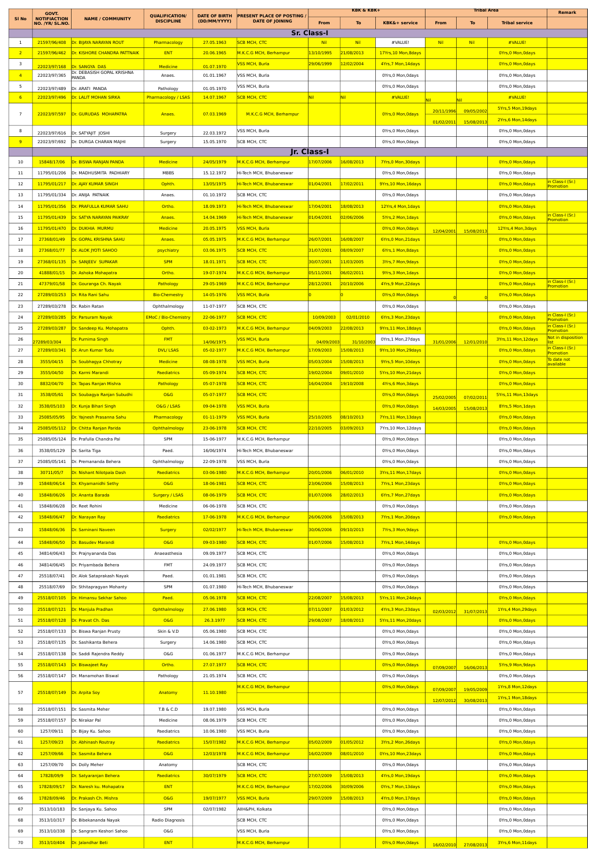|                         | GOVT.<br><b>NOTIFIACTION</b> |                              | <b>OUALIFICATION</b>                    | <b>DATE OF BIRTH</b> | <b>PRESENT PLACE OF POSTING</b> |                         | <b>KBK &amp; KBK+</b> |                          |            | <b>Tribal Area</b> |                       | Remark                                      |
|-------------------------|------------------------------|------------------------------|-----------------------------------------|----------------------|---------------------------------|-------------------------|-----------------------|--------------------------|------------|--------------------|-----------------------|---------------------------------------------|
| SI <sub>No</sub>        | NO. /YR/ SL.NO.              | <b>NAME / COMMUNITY</b>      | <b>DISCIPLINE</b>                       | (DD/MM/YYYY)         | <b>DATE OF JOINING</b>          | From                    | To                    | <b>KBK&amp;+ service</b> | From       | To                 | <b>Tribal service</b> |                                             |
|                         |                              |                              |                                         |                      |                                 | <b>Sr. Class-I</b>      |                       |                          |            |                    |                       |                                             |
| -1                      | 21597/96/408                 | Dr. BIJAYA NARAYAN ROUT      | Pharmacology                            | 27.05.1963           | <b>SCB MCH, CTC</b>             | <b>Nil</b>              | <b>Nil</b>            | #VALUE!                  | Nil        | <b>Nil</b>         | #VALUE!               |                                             |
| $\overline{2}$          | 21597/96/462                 | Dr. KISHORE CHANDRA PATTNAIK | <b>ENT</b>                              | 20.06.1965           | M.K.C.G MCH, Berhampur          | 13/10/1995              | 21/08/2013            | 17Yrs,10 Mon,8days       |            |                    | OYrs, 0 Mon, Odays    |                                             |
| $\overline{\mathbf{3}}$ | 22023/97/168                 | Dr. SANGYA DAS               | <b>Medicine</b>                         | 01.07.1970           | <mark>VSS MCH, Burla</mark>     | <mark>29/06/1999</mark> | 12/02/2004            | 4Yrs, 7 Mon, 14days      |            |                    | OYrs, 0 Mon, Odays    |                                             |
| $\overline{4}$          | 22023/97/365                 | Dr. DEBASISH GOPAL KRISHNA   | Anaes.                                  | 01.01.1967           | VSS MCH, Burla                  |                         |                       | OYrs, 0 Mon, Odays       |            |                    | OYrs, 0 Mon, Odays    |                                             |
| 5                       |                              | 22023/97/489 Dr. ARATI PANDA |                                         | 01.05.1970           | VSS MCH, Burla                  |                         |                       | OYrs, 0 Mon, Odays       |            |                    | OYrs, 0 Mon, Odays    |                                             |
| 6                       | 22023/97/496                 | <b>Dr. LALIT MOHAN SIRKA</b> | Pathology<br><b>Pharmacology / LSAS</b> | 14.07.1967           | <b>SCB MCH, CTC</b>             | Nil                     | Nil                   | #VALUE!                  |            |                    | #VALUE!               |                                             |
|                         |                              |                              |                                         |                      |                                 |                         |                       |                          |            |                    | 5Yrs, 5 Mon, 19days   |                                             |
| $\overline{7}$          | 22023/97/597                 | Dr. GURUDAS MOHAPATRA        | Anaes.                                  | 07.03.1969           | M.K.C.G MCH, Berhampur          |                         |                       | OYrs, 0 Mon, Odays       | 20/11/1996 | 09/05/200          | 2Yrs, 6 Mon, 14days   |                                             |
| 8                       |                              |                              |                                         |                      | VSS MCH, Burla                  |                         |                       | OYrs, 0 Mon, Odays       | 01/02/201  | 15/08/2013         | OYrs, 0 Mon, Odays    |                                             |
|                         | 22023/97/616                 | Dr. SATYAJIT JOSHI           | Surgery                                 | 22.03.1972           |                                 |                         |                       |                          |            |                    |                       |                                             |
| 9                       | 22023/97/692                 | Dr. DURGA CHARAN MAJHI       | Surgery                                 | 15.05.1970           | SCB MCH, CTC                    |                         |                       | OYrs, 0 Mon, Odays       |            |                    | OYrs, 0 Mon, Odays    |                                             |
|                         |                              | Dr. BISWA RANJAN PANDA       |                                         |                      |                                 | Jr. Class-I             | 16/08/2013            |                          |            |                    | OYrs, 0 Mon, Odays    |                                             |
| 10                      | 15848/17/06                  |                              | <b>Medicine</b>                         | 24/05/1979           | M.K.C.G MCH, Berhampur          | 17/07/2006              |                       | 7Yrs,0 Mon,30days        |            |                    |                       |                                             |
| 11                      | 11795/01/206                 | Dr. MADHUSMITA PADHIARY      | MBBS                                    | 15.12.1972           | Hi-Tech MCH, Bhubaneswar        |                         |                       | OYrs, 0 Mon, Odays       |            |                    | OYrs, 0 Mon, Odays    | <mark>in Class-I (Sr.)</mark>               |
| 12                      | 11795/01/217                 | Dr. AJAY KUMAR SINGH         | Ophth.                                  | 13/05/1975           | Hi-Tech MCH, Bhubaneswar        | 01/04/2001              | 17/02/2011            | 9Yrs, 10 Mon, 16days     |            |                    | OYrs, 0 Mon, Odays    | Promotion                                   |
| 13                      | 11795/01/334                 | Dr. ANIJA PATNAIK            | Anaes                                   | 01.10.1972           | SCB MCH, CTC                    |                         |                       | OYrs, 0 Mon, Odays       |            |                    | OYrs, 0 Mon, Odays    |                                             |
| 14                      | 11795/01/356                 | Dr. PRAFULLA KUMAR SAHU      | Ortho.                                  | 18.09.1973           | Hi-Tech MCH, Bhubaneswar        | 17/04/2001              | 18/08/2013            | 12Yrs, 4 Mon, 1days      |            |                    | OYrs, 0 Mon, Odays    |                                             |
| 15                      | 11795/01/439                 | Dr. SATYA NARAYAN PAIKRAY    | Anaes                                   | 14.04.1969           | Hi-Tech MCH, Bhubaneswar        | 01/04/2001              | 02/06/2006            | 5Yrs,2 Mon, 1days        |            |                    | OYrs, 0 Mon, Odays    | in Class-I (Sr.)<br>Promotion               |
| 16                      | 11795/01/470                 | Dr. DUKHIA MURMU             | <b>Medicine</b>                         | 20.05.1975           | <b>VSS MCH, Burla</b>           |                         |                       | OYrs, 0 Mon, Odays       | 12/04/200  | 15/08/2013         | 12Yrs, 4 Mon, 3days   |                                             |
| 17                      | 27368/01/49                  | Dr. GOPAL KRISHNA SAHU       | Anaes                                   | 05.05.1975           | M.K.C.G MCH, Berhampur          | 26/07/2001              | 16/08/2007            | 6Yrs, 0 Mon, 21 days     |            |                    | OYrs, 0 Mon, Odays    |                                             |
| 18                      | 27368/01/77                  | Dr. ALOK JYOTI SAHOO         | psychiatry                              | 03.06.1975           | <mark>SCB</mark> MCH, СТС       | 31/07/2001              | 08/09/2007            | 6Yrs,1 Mon,8days         |            |                    | OYrs, 0 Mon, Odays    |                                             |
| 19                      | 27368/01/135                 | Dr. SANJEEV SUPAKAR          | <b>SPM</b>                              | 18.01.1971           | <b>SCB MCH, CTC</b>             | 30/07/2001              | 11/03/2005            | 3Yrs, 7 Mon, 9days       |            |                    | OYrs, 0 Mon, Odays    |                                             |
| 20                      | 41888/01/15                  | Dr. Ashoka Mohapatra         | Ortho.                                  | 19-07-1974           | M.K.C.G MCH, Berhampur          | 05/11/2001              | 06/02/2011            | 9Yrs, 3 Mon, 1days       |            |                    | OYrs, 0 Mon, Odays    |                                             |
| 21                      | 47379/01/58                  | Dr. Gouranga Ch. Nayak       | Pathology                               | 29-05-1969           | M.K.C.G MCH, Berhampur          | 28/12/2001              | 20/10/2006            | 4Yrs,9 Mon,22days        |            |                    | OYrs, 0 Mon, Odays    | <mark>in Class-I (Sr.)</mark>               |
| 22                      | 27289/03/253                 | Dr. Rita Rani Sahu           | <b>Bio-Chemestry</b>                    | 14-05-1976           | VSS MCH, Burla                  |                         |                       | OYrs, 0 Mon, Odays       |            |                    | OYrs, 0 Mon, Odays    | Promotion                                   |
|                         |                              |                              |                                         |                      |                                 |                         |                       |                          |            |                    |                       |                                             |
| 23                      | 27289/03/278                 | Dr. Rabin Ratan              | Ophthalmology                           | 11-07-1977           | SCB MCH, CTC                    |                         |                       | OYrs, 0 Mon, Odays       |            |                    | OYrs, 0 Mon, Odays    |                                             |
| 24                      | 27289/03/285                 | Dr. Parsuram Nayak           | <b>EMoC / Bio-Chemistry</b>             | 22-06-1977           | <b>SCB MCH, CTC</b>             | 10/09/2003              | 02/01/2010            | 6Yrs, 3 Mon, 23days      |            |                    | OYrs, 0 Mon, Odays    | i <mark>n Class-I (Sr.)</mark><br>Promotion |
| 25                      | 27289/03/287                 | Dr. Sandeep Ku. Mohapatra    | Ophth                                   | 03-02-1973           | M.K.C.G MCH, Berhampur          | 04/09/2003              | 22/08/2013            | 9Yrs, 11 Mon, 18days     |            |                    | OYrs, 0 Mon, Odays    | n Class-I (Sr.)<br>Promotion                |
| 26                      | 7289/03/304                  | Dr. Purnima Singh            | <b>FMT</b>                              | 14/06/1975           | VSS MCH, Burla                  | 04/09/200               | 31/10/20              | OYrs,1 Mon,27days        | 31/01/2006 | 12/01/2010         | 3Yrs,11 Mon,12days    | Not in disposition                          |
| 27                      | 27289/03/341                 | Dr. Arun Kumar Tudu          | <b>DVL/LSAS</b>                         | 05-02-1977           | M.K.C.G MCH, Berhampur          | 17/09/2003              | 15/08/2013            | 9Yrs,10 Mon,29days       |            |                    | OYrs, 0 Mon, Odays    | n Class-I (Sr.)<br>romotion                 |
| 28                      | 3555/04/15                   | Dr. Soubhagya Chhotray       | <b>Medicine</b>                         | 08-08-1978           | VSS MCH, Burla                  | 05/03/2004              | 15/08/2013            | 9Yrs, 5 Mon, 10days      |            |                    | OYrs, 0 Mon, Odays    | To date not<br>available                    |
| 29                      | 3555/04/50                   | Dr. Karmi Marandi            | Paediatrics                             | 05-09-1974           | <b>SCB MCH, CTC</b>             | 19/02/2004              | 09/01/2010            | 5Yrs, 10 Mon, 21days     |            |                    | OYrs, 0 Mon, Odays    |                                             |
| 30                      | 8832/04/70                   | Dr. Tapas Ranjan Mishra      | Pathology                               | 05-07-1978           | <b>SCB MCH, CTC</b>             | 16/04/2004              | 19/10/2008            | 4Yrs, 6 Mon, 3days       |            |                    | OYrs, 0 Mon, Odays    |                                             |
| 31                      | 3538/05/61                   | Dr. Soubagya Ranjan Subudhi  | <b>O&amp;G</b>                          | 05-07-1977           | <b>SCB MCH, CTC</b>             |                         |                       | OYrs, 0 Mon, Odays       | 25/02/200  | 07/02/201          | 5Yrs,11 Mon,13days    |                                             |
| 32                      | 3538/05/103                  | Dr. Kunja Bihari Singh       | O&G / LSAS                              | 09-04-1978           | VSS MCH, Burla                  |                         |                       | OYrs, 0 Mon, Odays       |            |                    | 8Yrs, 5 Mon, 1 days   |                                             |
| 33                      | 25085/05/95                  | Dr. Yajnesh Prasanna Sahu    | Pharmacology                            | 01-11-1979           | VSS MCH, Burla                  | 25/10/2005              | 08/10/2013            | 7Yrs,11 Mon,13days       | 14/03/200  | 15/08/201          | OYrs, 0 Mon, Odays    |                                             |
| 34                      | 25085/05/112                 | Dr. Chitta Ranjan Parida     | Ophthalmology                           | 23-06-1978           | <b>SCB MCH, CTC</b>             | 22/10/2005              | 03/09/2013            | 7Yrs,10 Mon,12days       |            |                    | OYrs, 0 Mon, Odays    |                                             |
|                         |                              |                              |                                         |                      |                                 |                         |                       |                          |            |                    |                       |                                             |
| 35                      | 25085/05/124                 | Dr. Prafulla Chandra Pal     | SPM                                     | 15-06-1977           | M.K.C.G MCH, Berhampur          |                         |                       | OYrs, 0 Mon, Odays       |            |                    | OYrs, 0 Mon, Odays    |                                             |
| 36                      | 3538/05/129                  | Dr. Sarita Tiga              | Paed.                                   | 16/06/1974           | Hi-Tech MCH, Bhubaneswar        |                         |                       | OYrs, 0 Mon, Odays       |            |                    | OYrs, 0 Mon, Odays    |                                             |
| 37                      | 25085/05/141                 | Dr. Premananda Behera        | Ophthalmology                           | 22-09-1978           | VSS MCH, Burla                  |                         |                       | OYrs, 0 Mon, Odays       |            |                    | OYrs, 0 Mon, Odays    |                                             |
| 38                      | 30711/05/7                   | Dr. Nishant Nilotpala Dash   | Paediatrics                             | 03-06-1980           | M.K.C.G MCH, Berhampur          | 20/01/2006              | 06/01/2010            | 3Yrs,11 Mon,17days       |            |                    | OYrs, 0 Mon, Odays    |                                             |
| 39                      | 15848/06/14                  | Dr. Khyamanidhi Sethy        | <b>O&amp;G</b>                          | 18-06-1981           | <b>SCB MCH, CTC</b>             | 23/06/2006              | 15/08/2013            | 7Yrs,1 Mon,23days        |            |                    | OYrs, 0 Mon, Odays    |                                             |
| 40                      | 15848/06/26                  | Dr. Ananta Barada            | Surgery / LSAS                          | 08-06-1979           | <b>SCB MCH, CTC</b>             | 01/07/2006              | 28/02/2013            | 6Yrs, 7 Mon, 27 days     |            |                    | OYrs, 0 Mon, Odays    |                                             |
| 41                      | 15848/06/28                  | Dr. Reet Rohini              | Medicine                                | 06-06-1978           | SCB MCH, CTC                    |                         |                       | OYrs, 0 Mon, Odays       |            |                    | OYrs, 0 Mon, Odays    |                                             |
| 42                      | 15848/06/47                  | Dr. Narayan Ray              | Paediatrics                             | 17-06-1978           | M.K.C.G MCH, Berhampur          | 26/06/2006              | 15/08/2013            | 7Yrs,1 Mon,20days        |            |                    | OYrs, 0 Mon, Odays    |                                             |
| 43                      | 15848/06/36                  | Dr. Saminani Naveen          | Surgery                                 | 02/02/1977           | Hi-Tech MCH, Bhubaneswar        | 30/06/2006              | 09/10/2013            | 7Yrs, 3 Mon, 9days       |            |                    |                       |                                             |
|                         |                              |                              |                                         |                      |                                 |                         |                       |                          |            |                    |                       |                                             |
| 44                      | 15848/06/50                  | Dr. Basudev Marandi          | O&G                                     | 09-03-1980           | <b>SCB MCH, CTC</b>             | 01/07/2006              | 15/08/2013            | 7Yrs,1 Mon,14days        |            |                    | OYrs, 0 Mon, Odays    |                                             |
| 45                      | 34814/06/43                  | Dr. Prajnyananda Das         | Anaeasthesia                            | 09.09.1977           | SCB MCH, CTC                    |                         |                       | OYrs, 0 Mon, Odays       |            |                    | OYrs, 0 Mon, Odays    |                                             |
| 46                      | 34814/06/45                  | Dr. Priyambada Behera        | FMT                                     | 24.09.1977           | SCB MCH, CTC                    |                         |                       | OYrs, 0 Mon, Odays       |            |                    | OYrs, 0 Mon, Odays    |                                             |
| 47                      | 25518/07/41                  | Dr. Alok Sataprakash Nayak   | Paed.                                   | 01.01.1981           | SCB MCH, CTC                    |                         |                       | OYrs, 0 Mon, Odays       |            |                    | OYrs, 0 Mon, Odays    |                                             |
| 48                      | 25518/07/69                  | Dr. Sthitapragyan Mohanty    | SPM                                     | 01.07.1980           | Hi-Tech MCH, Bhubaneswar        |                         |                       | OYrs, 0 Mon, Odays       |            |                    | OYrs, 0 Mon, Odays    |                                             |
| 49                      | 25518/07/105                 | Dr. Himansu Sekhar Sahoo     | Paed.                                   | 05.06.1978           | <b>SCB MCH, CTC</b>             | 22/08/2007              | 15/08/2013            | 5Yrs,11 Mon,24days       |            |                    | OYrs, 0 Mon, Odays    |                                             |
| 50                      | 25518/07/121                 | Dr. Manjula Pradhan          | Ophthalmology                           | 27.06.1980           | <b>SCB MCH, CTC</b>             | 07/11/2007              | 01/03/2012            | 4Yrs, 3 Mon, 23days      | 02/03/2012 | 31/07/2013         | 1Yrs, 4 Mon, 29days   |                                             |
| 51                      | 25518/07/128                 | Dr. Pravat Ch. Das           | O&G                                     | 26.3.1977            | <b>SCB MCH, CTC</b>             | 29/08/2007              | 18/08/2013            | 5Yrs,11 Mon,20days       |            |                    | OYrs, 0 Mon, Odays    |                                             |
| 52                      | 25518/07/133                 | Dr. Biswa Ranjan Prusty      | Skin & V.D                              | 05.06.1980           | SCB MCH, CTC                    |                         |                       | OYrs, 0 Mon, Odays       |            |                    | OYrs, 0 Mon, Odays    |                                             |
| 53                      | 25518/07/135                 | Dr. Sashikanta Behera        | Surgery                                 | 14.06.1980           | SCB MCH, CTC                    |                         |                       | OYrs, 0 Mon, Odays       |            |                    | OYrs, 0 Mon, Odays    |                                             |
| 54                      | 25518/07/138                 | Dr. Saddi Rajendra Reddy     | O&G                                     | 01.06.1977           | M.K.C.G MCH, Berhampur          |                         |                       | OYrs, 0 Mon, Odays       |            |                    | OYrs, 0 Mon, Odays    |                                             |
| 55                      | 25518/07/143                 | Dr. Biswajeet Ray            | Ortho.                                  | 27.07.1977           | <b>SCB MCH, CTC</b>             |                         |                       | OYrs, 0 Mon, Odays       |            |                    | 5Yrs, 9 Mon, 9days    |                                             |
| 56                      | 25518/07/147                 | Dr. Manamohan Biswal         | Pathology                               | 21.05.1974           | SCB MCH, CTC                    |                         |                       | OYrs, 0 Mon, Odays       | 07/09/2007 | 16/06/2013         | OYrs, 0 Mon, Odays    |                                             |
|                         |                              |                              |                                         |                      |                                 |                         |                       |                          |            |                    |                       |                                             |
| 57                      | 25518/07/149 Dr. Arpita Soy  |                              | Anatomy                                 | 11.10.1980           | M.K.C.G MCH, Berhampur          |                         |                       | OYrs, 0 Mon, Odays       | 07/09/200  | 19/05/2009         | 1Yrs, 8 Mon, 12days   |                                             |
|                         |                              |                              |                                         |                      |                                 |                         |                       |                          | 12/07/2012 | 30/08/2013         | 1Yrs,1 Mon,18days     |                                             |
| 58                      | 25518/07/151                 | Dr. Sasmita Meher            | T.B & C.D                               | 19.07.1980           | VSS MCH, Burla                  |                         |                       | OYrs, 0 Mon, Odays       |            |                    | OYrs, 0 Mon, Odays    |                                             |
| 59                      | 25518/07/157                 | Dr. Nirakar Pal              | Medicine                                | 08.06.1979           | SCB MCH, CTC                    |                         |                       | OYrs, 0 Mon, Odays       |            |                    | OYrs, 0 Mon, Odays    |                                             |
| 60                      | 1257/09/11                   | Dr. Bijay Ku. Sahoo          | Paediatrics                             | 10.06.1980           | VSS MCH, Burla                  |                         |                       | OYrs, 0 Mon, Odays       |            |                    | OYrs, 0 Mon, Odays    |                                             |
| 61                      | 1257/09/23                   | Dr. Abhinash Routray         | Paediatrics                             | 15/07/1982           | M.K.C.G MCH, Berhampur          | 05/02/2009              | 01/05/2012            | 3Yrs,2 Mon,26days        |            |                    | OYrs, 0 Mon, Odays    |                                             |
| 62                      | 1257/09/66                   | Dr. Sasmita Behera           | <b>O&amp;G</b>                          | 12/03/1978           | M.K.C.G MCH, Berhampur          | 16/02/2009              | 08/01/2010            | OYrs, 10 Mon, 23days     |            |                    | OYrs, 0 Mon, Odays    |                                             |
| 63                      | 1257/09/70                   | Dr. Dolly Meher              | Anatomy                                 |                      | SCB MCH, CTC                    |                         |                       | OYrs, 0 Mon, Odays       |            |                    | OYrs, 0 Mon, Odays    |                                             |
| 64                      | 17828/09/9                   | Dr. Satyaranjan Behera       | Paediatrics                             | 30/07/1979           | <b>SCB MCH, CTC</b>             | 27/07/2009              | 15/08/2013            | 4Yrs,0 Mon,19days        |            |                    | OYrs, 0 Mon, Odays    |                                             |
| 65                      | 17828/09/17                  | Dr. Naresh ku. Mohapatra     | <b>ENT</b>                              |                      | M.K.C.G MCH, Berhampur          | 17/02/2006              | 30/09/2006            | OYrs, 7 Mon, 13days      |            |                    | OYrs, 0 Mon, Odays    |                                             |
| 66                      | 17828/09/46                  | Dr. Prakash Ch. Mishra       | O&G                                     | 19/07/1977           | VSS MCH, Burla                  | 29/07/2009              | 15/08/2013            | 4Yrs, 0 Mon, 17days      |            |                    | OYrs, 0 Mon, Odays    |                                             |
| 67                      | 3513/10/183                  | Dr. Sanjaya Ku. Sahoo        | SPM                                     | 02/07/1982           | AIIH&PH, Kolkata                |                         |                       | OYrs, 0 Mon, Odays       |            |                    | OYrs, 0 Mon, Odays    |                                             |
|                         |                              |                              |                                         |                      |                                 |                         |                       |                          |            |                    |                       |                                             |
| 68                      | 3513/10/317                  | Dr. Bibekananda Nayak        | Radio Diagnosis                         |                      | SCB MCH, CTC                    |                         |                       | OYrs, 0 Mon, Odays       |            |                    | OYrs, 0 Mon, Odays    |                                             |
| 69                      | 3513/10/338                  | Dr. Sangram Keshori Sahoo    | O&G                                     |                      | VSS MCH, Burla                  |                         |                       | OYrs, 0 Mon, Odays       |            |                    | OYrs, 0 Mon, Odays    |                                             |
| 70                      | 3513/10/404                  | Dr. Jalandhar Beti           | <b>ENT</b>                              |                      | M.K.C.G MCH, Berhampur          |                         |                       | OYrs, 0 Mon, Odays       | 16/02/2010 | 27/08/2013         | 3Yrs, 6 Mon, 11days   |                                             |